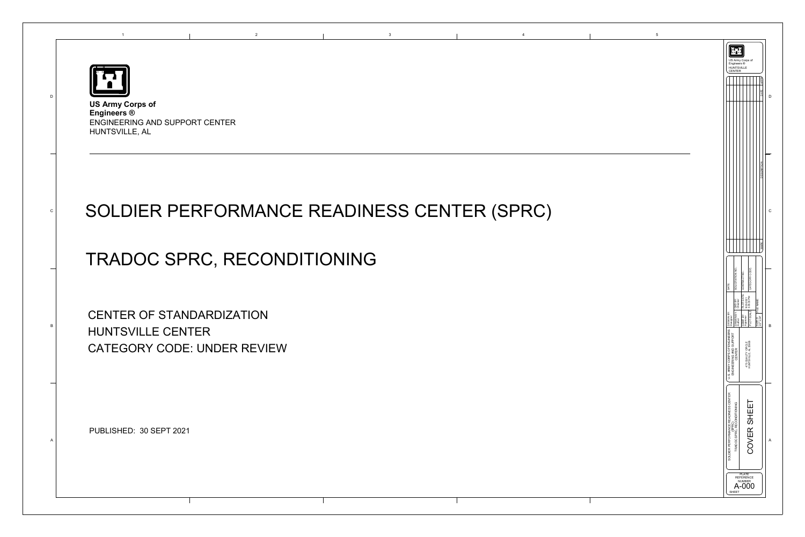



## SOLDIER PERFORMANCE READINESS CENTER (SPRC)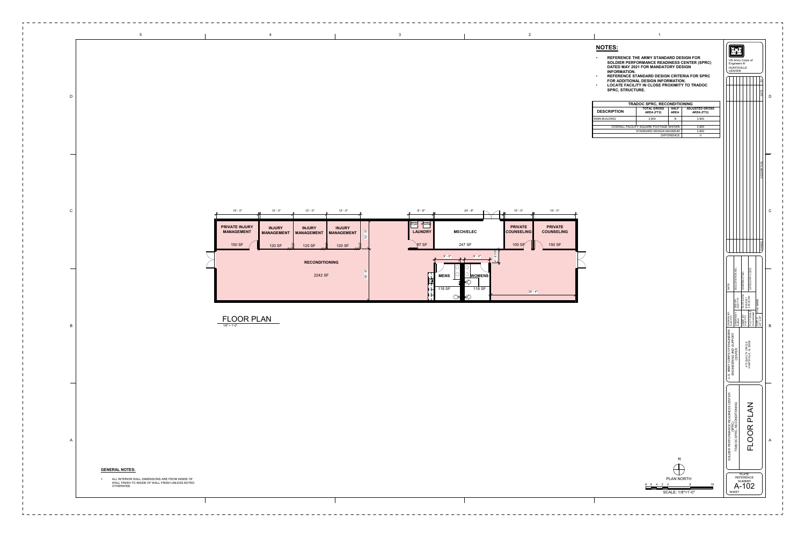| <b>TRADOC SPRC, RECONDITIONING</b>    |                                  |                            |                                     |
|---------------------------------------|----------------------------------|----------------------------|-------------------------------------|
| <b>DESCRIPTION</b>                    | <b>TOTAL GROSS</b><br>AREA (FT2) | <b>HALF</b><br><b>AREA</b> | <b>ADJUSTED GROSS</b><br>AREA (FT2) |
| <b>MAIN BUILDING</b>                  | 3,900                            | Ν                          | 3,900                               |
|                                       |                                  |                            |                                     |
| OVERALL FACILITY SQUARE FOOTAGE SHOWN |                                  |                            | 3,900                               |
| STANDARD DESIGN MAXIMUM               |                                  |                            | 3,900                               |
| <b>DIEEEDENCE</b>                     |                                  |                            |                                     |

## **NOTES:**

- **REFERENCE THE ARMY STANDARD DESIGN FOR SOLDIER PERFORMANCE READINESS CENTER (SPRC) DATED MAY 2021 FOR MANDATORY DESIGN INFORMATION.**
- **REFERENCE STANDARD DESIGN CRITERIA FOR SPRC**
- **FOR ADDITIONAL DESIGN INFORMATION.**
- **SPRC, STRUCTURE.**

D

C

B

A



US Army Corps of Engineers ®

H

SHEET



- - -

 $- - - - - - - - - - -$ 

A-102